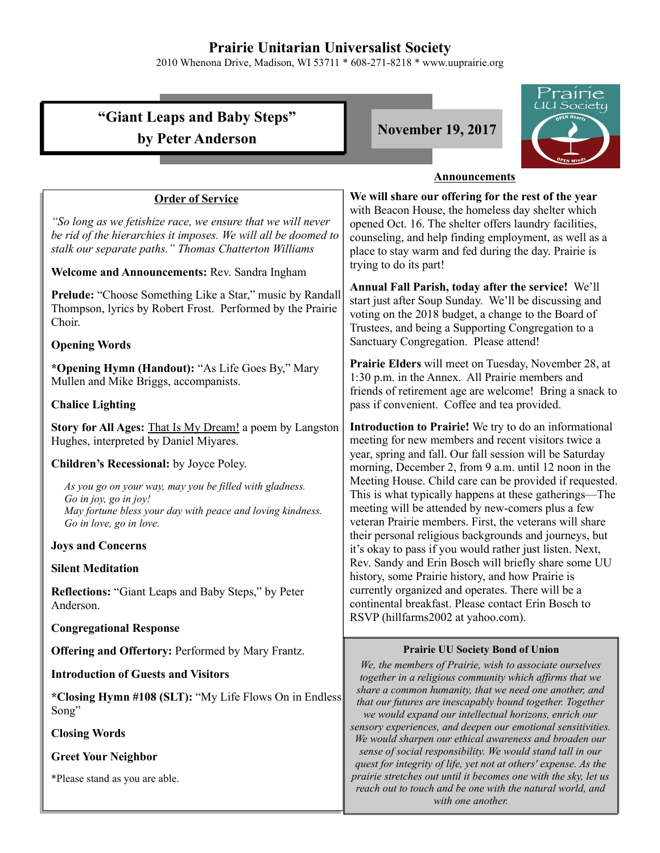# **Prairie Unitarian Universalist Society**

2010 Whenona Drive, Madison, WI 53711 \* 608-271-8218 \* www.uuprairie.org

|                                                                                                                                                                                                                                         | <i>Prairie</i><br>UU Society                                                                                                                                                                                                                                       |
|-----------------------------------------------------------------------------------------------------------------------------------------------------------------------------------------------------------------------------------------|--------------------------------------------------------------------------------------------------------------------------------------------------------------------------------------------------------------------------------------------------------------------|
| "Giant Leaps and Baby Steps"                                                                                                                                                                                                            | <b>November 19, 2017</b>                                                                                                                                                                                                                                           |
| by Peter Anderson                                                                                                                                                                                                                       |                                                                                                                                                                                                                                                                    |
| <b>Announcements</b>                                                                                                                                                                                                                    |                                                                                                                                                                                                                                                                    |
| <b>Order of Service</b>                                                                                                                                                                                                                 | We will share our offering for the rest of the year                                                                                                                                                                                                                |
| "So long as we fetishize race, we ensure that we will never<br>be rid of the hierarchies it imposes. We will all be doomed to<br>stalk our separate paths." Thomas Chatterton Williams<br>Welcome and Announcements: Rev. Sandra Ingham | with Beacon House, the homeless day shelter which<br>opened Oct. 16. The shelter offers laundry facilities,<br>counseling, and help finding employment, as well as a<br>place to stay warm and fed during the day. Prairie is<br>trying to do its part!            |
| <b>Prelude:</b> "Choose Something Like a Star," music by Randall<br>Thompson, lyrics by Robert Frost. Performed by the Prairie<br>Choir.<br><b>Opening Words</b>                                                                        | Annual Fall Parish, today after the service! We'll<br>start just after Soup Sunday. We'll be discussing and<br>voting on the 2018 budget, a change to the Board of<br>Trustees, and being a Supporting Congregation to a<br>Sanctuary Congregation. Please attend! |
| *Opening Hymn (Handout): "As Life Goes By," Mary<br>Mullen and Mike Briggs, accompanists.<br><b>Chalice Lighting</b>                                                                                                                    | Prairie Elders will meet on Tuesday, November 28, at<br>1:30 p.m. in the Annex. All Prairie members and<br>friends of retirement age are welcome! Bring a snack to<br>pass if convenient. Coffee and tea provided.                                                 |
| Story for All Ages: That Is My Dream! a poem by Langston                                                                                                                                                                                | Introduction to Prairie! We try to do an informational                                                                                                                                                                                                             |
| Hughes, interpreted by Daniel Miyares.                                                                                                                                                                                                  | meeting for new members and recent visitors twice a                                                                                                                                                                                                                |
| Children's Recessional: by Joyce Poley.                                                                                                                                                                                                 | year, spring and fall. Our fall session will be Saturday<br>morning, December 2, from 9 a.m. until 12 noon in the                                                                                                                                                  |
| As you go on your way, may you be filled with gladness.<br>Go in joy, go in joy!<br>May fortune bless your day with peace and loving kindness.<br>Go in love, go in love.                                                               | Meeting House. Child care can be provided if requested.<br>This is what typically happens at these gatherings—The<br>meeting will be attended by new-comers plus a few<br>veteran Prairie members. First, the veterans will share                                  |
| <b>Joys and Concerns</b>                                                                                                                                                                                                                | their personal religious backgrounds and journeys, but<br>it's okay to pass if you would rather just listen. Next,                                                                                                                                                 |
| <b>Silent Meditation</b>                                                                                                                                                                                                                | Rev. Sandy and Erin Bosch will briefly share some UU<br>history, some Prairie history, and how Prairie is                                                                                                                                                          |
| <b>Reflections: "Giant Leaps and Baby Steps," by Peter</b><br>Anderson.                                                                                                                                                                 | currently organized and operates. There will be a<br>continental breakfast. Please contact Erin Bosch to<br>RSVP (hillfarms2002 at yahoo.com).                                                                                                                     |
| <b>Congregational Response</b>                                                                                                                                                                                                          |                                                                                                                                                                                                                                                                    |
| <b>Offering and Offertory: Performed by Mary Frantz.</b>                                                                                                                                                                                | <b>Prairie UU Society Bond of Union</b>                                                                                                                                                                                                                            |
| <b>Introduction of Guests and Visitors</b>                                                                                                                                                                                              | We, the members of Prairie, wish to associate ourselves<br>together in a religious community which affirms that we                                                                                                                                                 |
| *Closing Hymn #108 (SLT): "My Life Flows On in Endless<br>Song"                                                                                                                                                                         | share a common humanity, that we need one another, and<br>that our futures are inescapably bound together. Together<br>we would expand our intellectual horizons, enrich our                                                                                       |
| <b>Closing Words</b>                                                                                                                                                                                                                    | sensory experiences, and deepen our emotional sensitivities.<br>We would sharpen our ethical awareness and broaden our                                                                                                                                             |
| <b>Greet Your Neighbor</b>                                                                                                                                                                                                              | sense of social responsibility. We would stand tall in our<br>quest for integrity of life, yet not at others' expense. As the                                                                                                                                      |
| *Please stand as you are able.                                                                                                                                                                                                          | prairie stretches out until it becomes one with the sky, let us<br>reach out to touch and be one with the natural world, and<br>with one another.                                                                                                                  |